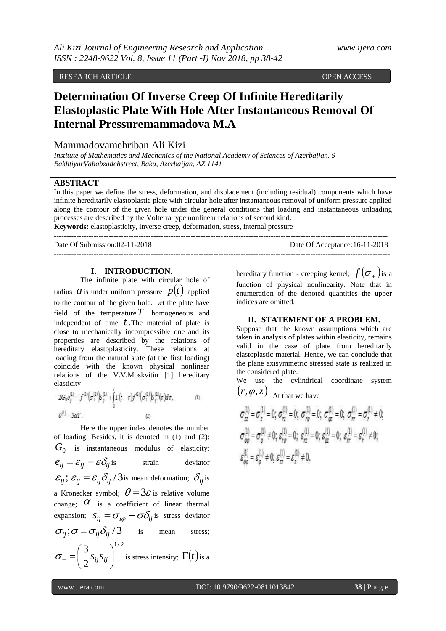RESEARCH ARTICLE OPEN ACCESS

# **Determination Of Inverse Creep Of Infinite Hereditarily Elastoplastic Plate With Hole After Instantaneous Removal Of Internal Pressuremammadova M.A**

# Mammadovamehriban Ali Kizi

*Institute of Mathematics and Mechanics of the National Academy of Sciences of Azerbaijan. 9 BakhtiyarVahabzadehstreet, Baku, Azerbaijan, AZ 1141*

## **ABSTRACT**

In this paper we define the stress, deformation, and displacement (including residual) components which have infinite hereditarily elastoplastic plate with circular hole after instantaneous removal of uniform pressure applied along the contour of the given hole under the general conditions that loading and instantaneous unloading processes are described by the Volterra type nonlinear relations of second kind. **Keywords:** elastoplasticity, inverse creep, deformation, stress, internal pressure

--------------------------------------------------------------------------------------------------------------------------------------

Date Of Submission:02-11-2018 Date Of Acceptance:16-11-2018 ---------------------------------------------------------------------------------------------------------------------------------------

#### **I. INTRODUCTION.**

The infinite plate with circular hole of radius  $a$  is under uniform pressure  $p(t)$  applied to the contour of the given hole. Let the plate have field of the temperature *T* homogeneous and independent of time  $\vec{t}$ . The material of plate is close to mechanically incompressible one and its properties are described by the relations of hereditary elastoplasticity. These relations at loading from the natural state (at the first loading) coincide with the known physical nonlinear relations of the V.V.Moskvitin [1] hereditary elasticity

$$
2G_0e_{\bar{g}}^{(1)} = f^{(1)}(\sigma_+^{(1)})g_{\bar{g}}^{(1)} + \int_0^1 \Gamma(t-\tau)f^{(1)}(\sigma_+^{(1)})g_{\bar{g}}^{(1)}(\tau)d\tau, \tag{1}
$$
  

$$
\theta^{(1)} = 3\alpha T. \tag{2}
$$

Here the upper index denotes the number of loading. Besides, it is denoted in (1) and (2):  $G_0$  is instantaneous modulus of elasticity;  $e_{ii} = \varepsilon_{ii} - \varepsilon \delta_{ii}$  is strain deviator  $\varepsilon_{ij}$ ;  $\varepsilon_{ij} = \varepsilon_{ij} \delta_{ij} / 3$  is mean deformation;  $\delta_{ij}$  is a Kronecker symbol;  $\theta = 3\varepsilon$  is relative volume change;  $\alpha$  is a coefficient of linear thermal expansion;  $S_{ij} = \sigma_{i\varphi} - \sigma \delta_{ij}$  is stress deviator  $\sigma_{ii}$ ;  $\sigma = \sigma_{ii} \delta_{ii} / 3$ is mean 1/ 2 2 3  $\overline{\phantom{a}}$ J  $\backslash$  $\mathsf{I}$  $\setminus$ ſ  $\sigma_{+} = \left| \frac{\partial}{\partial s_{ij}} s_{ij} \right|$  is stress intensity;  $\Gamma(t)$  is a

hereditary function - creeping kernel;  $f(\sigma_+)$ is a function of physical nonlinearity. Note that in enumeration of the denoted quantities the upper indices are omitted.

#### **II. STATEMENT OF A PROBLEM.**

Suppose that the known assumptions which are taken in analysis of plates within elasticity, remains valid in the case of plate from hereditarily elastoplastic material. Hence, we can conclude that the plane axisymmetric stressed state is realized in the considered plate.

We use the cylindrical coordinate system  $\left(r,\varphi,z\right)_{\ldots \text{At that we have}}$ 

$$
e^{(1)} = e^{(1)} - 0 \cdot e^{(1)} - 0 \cdot e^{(1)} - 0 \cdot e^{(1)} - 0 \cdot
$$

$$
\sigma_{\varphi\varphi}^{(1)} = \sigma_{\varphi}^{(1)} \neq 0; \ \varepsilon_{r\varphi}^{(1)} = 0; \ \varepsilon_{r\varphi}^{(1)} = 0; \ \varepsilon_{\varphi}^{(1)} = 0; \ \varepsilon_{r\varphi}^{(1)} = 0; \ \varepsilon_{r\varphi}^{(1)} = 0; \ \varepsilon_{r\varphi}^{(1)} = \varepsilon_{r\varphi}^{(1)} \neq 0; \ \varepsilon_{\varphi\varphi}^{(1)} = \varepsilon_{\varphi}^{(1)} \neq 0; \ \varepsilon_{\varphi\varphi}^{(1)} = \varepsilon_{\varphi}^{(1)} \neq 0; \ \varepsilon_{\varphi\varphi}^{(1)} = \varepsilon_{\varphi}^{(1)} \neq 0.
$$

 $(1)$   $(1)$   $(0)$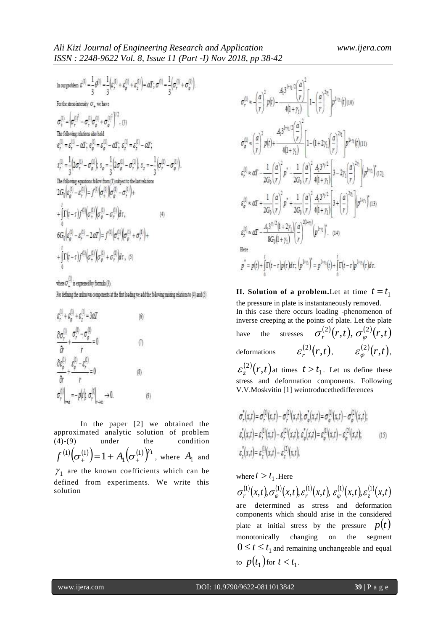$\text{In our problem } \mathcal{E}^{[1]} = \frac{1}{2}\mathcal{G}^{[1]} = \frac{1}{2}\Big(\mathcal{E}^{[1]}_r + \mathcal{E}^{[1]}_\theta + \mathcal{E}^{[1]}_z\Big) = \mathcal{Q} T^*_z \, \mathcal{G}^{[1]} = \frac{1}{2}\Big(\mathcal{G}^{[1]}_r + \mathcal{G}^{[1]}_\theta\Big).$ For the stress intensity  $O$ , we have  $\sigma_+^{(1)}\hspace{-0.1cm}=\hspace{-0.1cm}\left(\!\sigma_r^{(1)}\!\!\!\right.^-\hspace{-0.1cm}\sigma_r^{(1)}\sigma_\rho^{(1)}\hspace{-0.1cm}+\hspace{-0.1cm}\sigma_\sigma^{(1)}\!\!\!\right)^{\hspace{-0.1cm}1\hspace{-0.1cm}+2}. \hspace{-0.1cm} \left. \text{\small (3)}$ The following relations also hold  $e_i^{(1)} = \varepsilon_i^{(1)} - \alpha T$ ;  $e_a^{(1)} = \varepsilon_a^{(1)} - \alpha T$ ;  $\varepsilon_i^{(1)} = \varepsilon_i^{(1)} - \alpha T$ ;  $s_r^{(1)} = \frac{1}{3}\left(2\sigma_r^{(1)} - \sigma_\sigma^{(1)}\right), \; s_\sigma = \frac{1}{3}\left(2\sigma_\sigma^{(1)} - \sigma_r^{(1)}\right), \; s_z = -\frac{1}{3}\left(\sigma_r^{(1)} - \sigma_\sigma^{(1)}\right).$ The following equations follow from (1) subject to the last relation<br>  $2G_0\big(\mathcal{E}_n^{(1)}-\mathcal{E}_r^{(1)}\big)=f^{(1)}\big(\sigma_+^{(1)}\big)\sigma_+^{(1)}-\sigma_r^{(1)}\big)+$ + $\int \Gamma(t-r) f^{(1)}(\sigma_+^{(1)}) \sigma_\theta^{(1)} - \sigma_r^{(1)} dt$  $(4)$  $6G_0\Big(e^{(1)}_o - e^{(1)}_r - 2\alpha T\Big) = f^{(1)}\Big(\sigma_+^{(1)}\Big) \sigma_0^{(1)} + \sigma_r^{(1)}\Big) +$  $+\int\!\Gamma\big(t-\tau\big)f^{(1)}\big(\!\sigma^{(1)}_+\big)\!\!\big(\sigma^{(1)}_\theta\big) +\sigma^{(1)}_r\big)d\tau\,,\,\,(5)$ where  $\sigma_{\perp}^{(1)}$  is expressed by formula (3).

For defining the unknown components at the first loading we add the following missing relations to (4) and (5)

$$
\varepsilon_r^{(1)} + \varepsilon_g^{(1)} + \varepsilon_z^{(1)} = 3\alpha T \tag{6}
$$
  
\n
$$
\frac{\partial \sigma_r^{(1)}}{\partial r} + \frac{\sigma_r^{(1)} - \sigma_g^{(1)}}{r} = 0 \tag{7}
$$
  
\n
$$
\frac{\partial \varepsilon_g^{(1)}}{\partial r} + \frac{\varepsilon_g^{(1)} - \varepsilon_r^{(1)}}{r} = 0 \tag{8}
$$
  
\n
$$
\sigma_r^{(1)} \Big|_{r=a} = -p(r) \sigma_r^{(1)} \Big|_{r\to\infty} \to 0. \tag{9}
$$

In the paper [2] we obtained the approximated analytic solution of problem  $(4)-(9)$  under the condition  $^{(1)}(\sigma_{+}^{(1)})=1+A_{1}(\sigma_{+}^{(1)})^{\gamma_{1}}$ 1  $f^{(1)}\!\!\left(\sigma_{+}^{(1)}\right)\! \!= \! 1 \!+ A_{\!1}\!\left(\sigma_{+}^{(1)}\right)^{\!\! \gamma_{1}}$  , where  $A_{\!1}$  and  $\gamma_1$  are the known coefficients which can be defined from experiments. We write this solution

$$
\sigma_r^{(1)} \approx \left(\frac{a}{r}\right)^2 p(t) - \frac{A_1 3^{1+\gamma/2} \left(\frac{a}{r}\right)^2}{4(1+\gamma_1)} \left[1 - \left(\frac{a}{r}\right)^{2\gamma_1}\right] p^{1+\gamma_1}(r)(10)
$$
\n
$$
\sigma_\theta^{(1)} \approx \left(\frac{a}{r}\right)^2 p(t) + \frac{A_1 3^{1+\gamma_1/2} \left(\frac{a}{r}\right)^2}{4(1+\gamma_1)} \left[1 - (1+2\gamma_1) \left(\frac{a}{r}\right)^{2\gamma_1}\right] p^{1+\gamma_1}(r)(11)
$$
\n
$$
\varepsilon_r^{(1)} \approx \alpha T - \frac{1}{2G_0} \left(\frac{a}{r}\right)^2 p^* - \frac{1}{2G_0} \left(\frac{a}{r}\right)^2 \frac{A_1 3^{2/2} \left[3 - 2\gamma_1 \left(\frac{a}{r}\right)^{2\gamma_1}\right]}{4(1+\gamma_1)} \left[3 - 2\gamma_1 \left(\frac{a}{r}\right)^{2\gamma_1}\right] p^{1+\gamma_1} \left(12\right)
$$
\n
$$
\varepsilon_\theta^{(1)} \approx \alpha T + \frac{1}{2G_0} \left(\frac{a}{r}\right)^2 p^* + \frac{1}{2G_0} \left(\frac{a}{r}\right)^2 \frac{A_1 3^{2/2} \left[3 + \left(\frac{a}{r}\right)^{2\gamma_1}\right]}{4(1+\gamma_1)} \left[3 + \left(\frac{a}{r}\right)^{2\gamma_1}\right] (p^{1+\gamma_1})^2 (13)
$$
\n
$$
\varepsilon_z^{(1)} \approx \alpha T - \frac{A_1 3^{2/2} (1+2\gamma_1)}{8G_0 (1+\gamma_1)} \left(\frac{a}{r}\right)^{2(1+\gamma_1)} \left(p^{1+\gamma_1}\right)^2 \quad (14)
$$
\nHere\n
$$
p^* = p(t) + \left[ \Gamma(t-r)p(t) ds; \left(p^{1+\gamma_1}\right)^2 = p^{1+\gamma_1}(t) + \int_0^1 (t-r)p^{1+\gamma_1}(r) dr.
$$

**II. Solution of a problem.** Let at time  $t = t_1$ the pressure in plate is instantaneously removed. In this case there occurs loading -phenomenon of inverse creeping at the points of plate. Let the plate have the stresses  $\sigma_r^{(2)}(r,t), \sigma_\varphi^{(2)}(r,t)$ deformations  $\varepsilon_r^{(2)}(r,t)$ ,  $\varepsilon_{\varphi}^{(2)}(r,t)$  $\varepsilon_{\varphi}^{(2)}(r,t),$  $\varepsilon_z^{(2)}(r,t)$  at times  $t > t_1$ . Let us define these stress and deformation components. Following V.V.Moskvitin [1] weintroducethedifferences

$$
\sigma_r^*(x,t) = \sigma_r^{(1)}(x,t) - \sigma_r^{(2)}(x,t); \sigma_\phi^*(x,t) = \sigma_\phi^{(1)}(x,t) - \sigma_\phi^{(2)}(x,t); \n\varepsilon_r^*(x,t) = \varepsilon_r^{(1)}(x,t) - \varepsilon_r^{(2)}(x,t); \varepsilon_\phi^*(x,t) = \varepsilon_\phi^{(1)}(x,t) - \varepsilon_\phi^{(2)}(x,t); \n\varepsilon_z^*(x,t) = \varepsilon_z^{(1)}(x,t) - \varepsilon_z^{(2)}(x,t),
$$
\n(15)

where  $t > t_1$ . Here

 $\sigma_r^{(1)}(x,t), \sigma_\varphi^{(1)}(x,t), \varepsilon_r^{(1)}(x,t), \varepsilon_\varphi^{(1)}(x,t), \varepsilon_z^{(1)}(x,t)$ are determined as stress and deformation components which should arise in the considered plate at initial stress by the pressure  $p(t)$ monotonically changing on the segment  $0 \le t \le t_1$  and remaining unchangeable and equal to  $p(t_1)$  for  $t < t_1$ .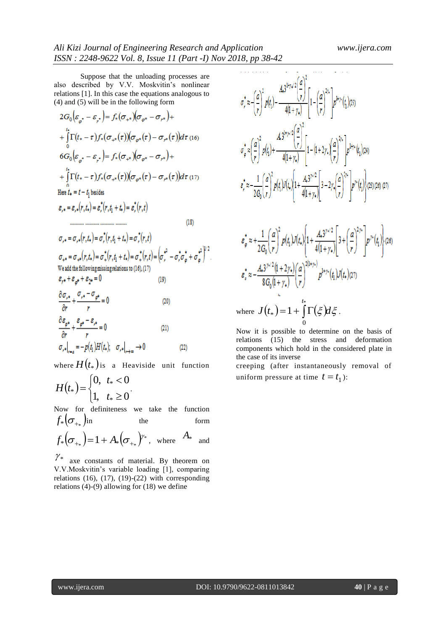Suppose that the unloading processes are also described by V.V. Moskvitin's nonlinear relations [1]. In this case the equations analogous to (4) and (5) will be in the following form

$$
2G_0\left(\varepsilon_{\varphi^*} - \varepsilon_{r^*}\right) = f_*(\sigma_{+^*})\left(\sigma_{\varphi^*} - \sigma_{r^*}\right) +
$$
\n
$$
+ \int_0^t \Gamma(t_* - \tau) f_*(\sigma_{+^*}(\tau))\left(\sigma_{\varphi^*}(\tau) - \sigma_{r^*}(\tau)\right) d\tau \text{ (16)}
$$
\n
$$
6G_0\left(\varepsilon_{\varphi^*} - \varepsilon_{r^*}\right) = f_*(\sigma_{+^*})\left(\sigma_{\varphi^*} - \sigma_{r^*}\right) +
$$
\n
$$
+ \int_0^t \Gamma(t_* - \tau) f_*(\sigma_{+^*}(\tau))\left(\sigma_{\varphi^*}(\tau) - \sigma_{r^*}(\tau)\right) d\tau \text{ (17)}
$$
\nHere  $t_* = t - t_1$  besides\n
$$
\varepsilon_{r^*} = \varepsilon_{r^*}(r, t_*) = \varepsilon_r^*(r, t_1 + t_*) = \varepsilon_r^*(r, t)
$$
\n
$$
\dots
$$
\n
$$
\dots
$$
\n
$$
\dots
$$
\n
$$
\sigma_{r^*} = \sigma_{r^*}(r, t_*) = \sigma_r^*(r, t_1 + t_*) = \sigma_r^*(r, t)
$$
\n
$$
\sigma_{r^*} = \sigma_{r^*}(r, t_*) = \sigma_r^*(r, t_1 + t_*) = \sigma_r^*(r, t) = \left(\sigma_r^2 - \sigma_r^* \sigma_r^* + \sigma_\varphi^2\right)^{1/2}.
$$
\nWe add the following misins relations to (16), (17)\n
$$
\varepsilon_{r^*} + \varepsilon_{\varphi^*} + \varepsilon_{r^*} = 0 \qquad (19)
$$
\n
$$
\frac{\partial \sigma_{r^*}}{\partial r} + \frac{\sigma_{r^*} - \sigma_{\varphi^*}}{r} = 0 \qquad (20)
$$
\n
$$
\frac{\partial \varepsilon_{\varphi^*}}{\partial r} + \frac{\varepsilon_{\varphi^*} - \varepsilon_{r^*}}{r} = 0 \qquad (21)
$$

where  $H(t_*)$  is a Heaviside unit function  $\epsilon$ 

$$
H(t_*) = \begin{cases} 0, & t_* < 0 \\ 1, & t_* \ge 0 \end{cases}.
$$

Now for definiteness we take the function  $f_*\big(\sigma_{_{+*}}\big)$ i the form

 $f_*\left(\sigma_{_{+*}}\right) = 1 + A_*\left(\sigma_{_{+*}}\right)^{\!\!\varphi_*}, \;\; \text{where} \;\; \; A_*$ and

 $\gamma_*$  axe constants of material. By theorem on V.V.Moskvitin's variable loading [1], comparing relations  $(16)$ ,  $(17)$ ,  $(19)-(22)$  with corresponding relations (4)-(9) allowing for (18) we define

$$
\sigma_r^* \approx \left(\frac{a}{r}\right)^2 p(t_1) - \frac{A_3^{1+\gamma+2} \left(\frac{a}{r}\right)^2}{4(1+\gamma_*)} \left[1 - \left(\frac{a}{r}\right)^{2\gamma_*}\right] p^{1+\gamma_*}(t_1) (23)
$$
  

$$
\sigma_\varphi^* \approx \left(\frac{a}{r}\right)^2 p(t_1) + \frac{A_3^{1+\gamma+2} \left(\frac{a}{r}\right)^2}{4(1+\gamma_*)} \left[1 - (1+2\gamma_*\left(\frac{a}{r}\right)^{2\gamma_*}\right] p^{1+\gamma_*}(t_1) (24)
$$
  

$$
\varepsilon_r^* \approx -\frac{1}{2G_0} \left(\frac{a}{r}\right)^2 p(t_1) J(t_*) \left\{1 + \frac{A_3^{3}{r'}^2}{4(1+\gamma_*)}\right[3 - 2\gamma_* \left(\frac{a}{r}\right)^{2\gamma_*}\right] p^{\gamma_*}(t_1) \left\{(25)(26)(27)\right\}
$$

$$
\varepsilon_{\varphi}^* \approx + \frac{1}{2G_0} \left( \frac{a}{r} \right)^2 p(t_1) J(t_*) \left\{ 1 + \frac{A_0 3^{\gamma+2}}{4(1+\gamma_*)} \left[ 3 + \left( \frac{a}{r} \right)^{2\gamma} \right] p^{\gamma_*}(t_1) \right\} (26)
$$
\n
$$
\varepsilon_{\varepsilon}^* \approx - \frac{A_0 3^{\gamma+2} (1+2\gamma_*)}{8G_0 (1+\gamma_*)} \left( \frac{a}{r} \right)^{2(1+\gamma_*)} p^{1+\gamma_*}(t_1) J(t_*) (27)
$$
\nwhere  $J(t_*) = 1 + \int_0^{t_*} \Gamma(\xi) d\xi$ .

Now it is possible to determine on the basis of relations (15) the stress and deformation components which hold in the considered plate in the case of its inverse

creeping (after instantaneously removal of uniform pressure at time  $t = t_1$ ):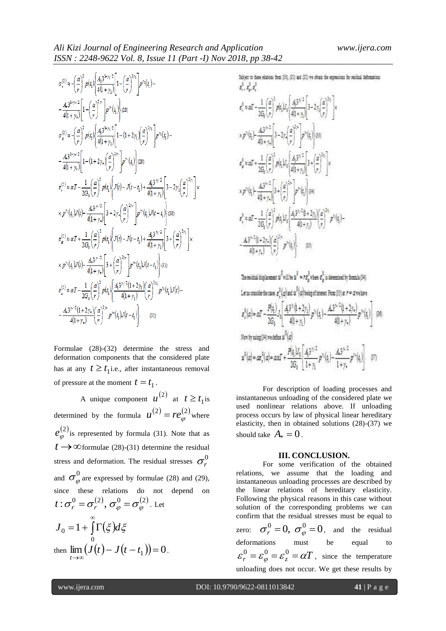$$
\sigma_r^{(2)} \approx -\left(\frac{a}{r}\right)^2 p(t_1) \left\{\frac{A_1 3^{1+\gamma_1/2}}{4(1+\gamma_1)} \left[1-\left(\frac{a}{r}\right)^{2\gamma_1}\right] p^{\gamma_1}(t_1) - \frac{A_2 3^{1+\gamma_1/2}}{4(1+\gamma_1)} \left[1-\left(\frac{a}{r}\right)^{2\gamma_1}\right] p^{\gamma_1}(t_1)\right\} (28)
$$
\n
$$
\sigma_r^{(2)} \approx -\left(\frac{a}{r}\right)^2 p(t_1) \left\{\frac{A_1 3^{1+\gamma_1/2}}{4(1+\gamma_1)} \left[1-(1+2\gamma_1)\left(\frac{a}{r}\right)^{2\gamma_1}\right] p^{\gamma_1}(t_1) - \frac{A_3 3^{1+\gamma_1/2}}{4(1+\gamma_1)} \left[1-(1+2\gamma_1)\left(\frac{a}{r}\right)^{2\gamma_1}\right] p^{\gamma_1}(t_1)\right\} (29)
$$
\n
$$
\varepsilon_r^{(2)} \approx \alpha T - \frac{1}{2G_0} \left(\frac{a}{r}\right)^2 p(t_1) \left\{J(t) - J(t-t_1) + \frac{A_3 3^{\gamma_1/2}}{4(1+\gamma_1)} \left[3-2\gamma_1\left(\frac{a}{r}\right)^{2\gamma_1}\right] x + p^{\gamma_1}(t_1) J(t) - \frac{A_3 3^{\gamma_1/2}}{4(1+\gamma_1)} \left[3-2\gamma_1\left(\frac{a}{r}\right)^{2\gamma_1}\right] p^{\gamma_1}(t_1) J(t-t_1)\right\} (30)
$$
\n
$$
\varepsilon_\varphi^{(2)} \approx \alpha T + \frac{1}{2G_0} \left(\frac{a}{r}\right)^2 p(t_1) \left\{J(t) - J(t-t_1) + \frac{A_3 3^{\gamma_1/2}}{4(1+\gamma_1)} \left[3+\left(\frac{a}{r}\right)^{2\gamma_1}\right] x + p^{\gamma_1}(t_1) J(t) - \frac{A_3 3^{\gamma_1/2}}{4(1+\gamma_1)} \left[3+\left(\frac{a}{r}\right)^{2\gamma_1}\right] p^{\gamma_1}(t_1) J(t-t_1)\right
$$

Formulae (28)-(32) determine the stress and deformation components that the considered plate has at any  $t \ge t_1$  *i.e.*, after instantaneous removal of pressure at the moment  $t = t_1$ .

A unique component  $u^{(2)}$  at  $t \ge t_1$  is determined by the formula  $u^{(2)} = re^{(2)}_{\varphi}$  where  $(2)$  $e^{(2)}_{\varphi}$  is represented by formula (31). Note that as  $t \rightarrow \infty$  formulae (28)-(31) determine the residual stress and deformation. The residual stresses  $\sigma_r^0$ and  $\sigma_{\varphi}^{0}$  are expressed by formulae (28) and (29), since these relations do not depend on  $t$  :  $\sigma_r^0$  =  $\sigma_r^{(2)},$   $\sigma_\varphi^0$  =  $\sigma_\varphi^{(2)}$  . Let  $J_0 = 1 + \int \Gamma(\xi) d\xi$  $\infty$  $_0 = 1 + \int \Gamma$ 

then 
$$
\lim_{t \to \infty} \left( \int_0^0 (t - t_1) dt \right) = 0.
$$

Subject to these relations from (30), (31) and (32) we obtain the expressions for residual deformations

$$
e_{r}^{p} \approx aT - \frac{1}{2G_{0}} \left( \frac{a}{r} \right)^{2} p(t_{1}) J_{0} \left\{ \frac{A_{1}^{3/2} \cdot 1}{4(1+\gamma_{1})} \left[ 3 - 2\gamma_{1} \left( \frac{a}{r} \right)^{2/3} \right] \times \times p^{\gamma_{2}}(t_{1}) - \frac{A_{2}^{3/2} \cdot 1}{4(1+\gamma_{2})} \left[ 3 - 2\gamma_{2} \left( \frac{a}{r} \right)^{2/3} \right] p^{\gamma_{2}}(t_{2}) \right\} \approx 0
$$
  
\n
$$
e_{\varphi}^{p} \approx aT + \frac{1}{2G_{0}} \left( \frac{a}{r} \right)^{2} p(t_{1}) J_{0} \left\{ \frac{A_{1}^{3/2} \cdot 1}{4(1+\gamma_{1})} \left[ 3 + \left( \frac{a}{r} \right)^{2/3} \right] \right\} \times \times p^{\gamma_{2}}(t_{1}) - \frac{A_{2}^{3/2} \cdot 1}{4(1+\gamma_{2})} \left[ 3 + \left( \frac{a}{r} \right)^{2} \right] p^{\gamma_{2}}(t_{1}) \right] \approx 0
$$
  
\n
$$
e_{r}^{p} \approx aT - \frac{1}{2G_{0}} \left( \frac{a}{r} \right)^{2} p(t_{1}) J_{0} \left\{ \frac{A_{1}^{3/2} \cdot 1(1+2\gamma_{1})}{4(1+\gamma_{1})} \left( \frac{a}{r} \right)^{2/3} p^{\gamma_{2}}(t_{1}) - \frac{A_{2}^{3/2} \cdot 1(1+2\gamma_{r})}{4(1+\gamma_{r})} \left( \frac{a}{r} \right)^{2/3} p^{\gamma_{2}}(t_{1}) \right\} \quad (93)
$$

The residual displacement  $u^0$  will be  $u^0 = re^0$ , where  $e^0$ , is determined by formula (34). Let us consider the cases  $\epsilon^0(a)$  and  $u^0(a)$  being of interest. From (35) at  $r$  =  $a$  we have  $g_s^0(a) = aT - \frac{P(t_1)}{2G_s} J_0 \left[ \frac{A_1^{3/5}(1+2\gamma_1)}{4(1+\gamma_1)} p^{3/5}(t_1) - \frac{A_1^{3/5/2}(1+2\gamma_2)}{4(1+\gamma_2)} p^{3/5}(t_1) \right]$  (36) Now by using (34) we define  $u^0(a)$  $u^{0}(a) = ae_{x}^{0}(a) = a\alpha T + \frac{P(t_{1})J_{0}}{2G} \left[ \frac{A_{1}^{3/2}}{1+x} p^{2}(t_{1}) - \frac{A_{1}^{3/2}}{1+x} p^{2}(t_{1}) \right].$  (37)

For description of loading processes and instantaneous unloading of the considered plate we used nonlinear relations above. If unloading process occurs by law of physical linear hereditary elasticity, then in obtained solutions (28)-(37) we should take  $A_*=0$ .

#### **III. CONCLUSION.**

For some verification of the obtained relations, we assume that the loading and instantaneous unloading processes are described by the linear relations of hereditary elasticity. Following the physical reasons in this case without solution of the corresponding problems we can confirm that the residual stresses must be equal to zero:  $\sigma_r^0 = 0$ ,  $\sigma_\varphi^0 = 0$ , and the residual deformations must be equal to  $\varepsilon_r^0 = \varepsilon_{\varphi}^0 = \varepsilon_z^0 = \alpha T$ , since the temperature unloading does not occur. We get these results by